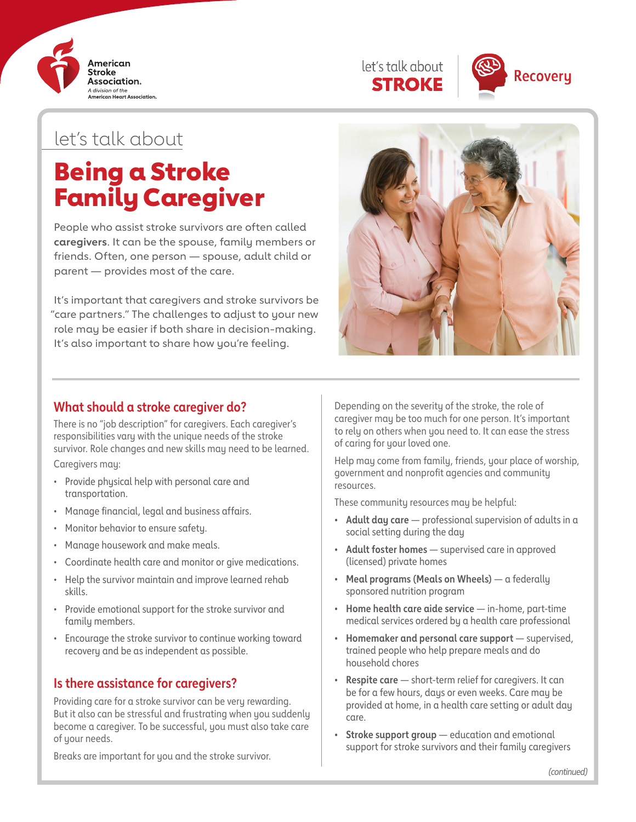





# let's talk about

# Being a Stroke Family Caregiver

People who assist stroke survivors are often called **caregivers**. It can be the spouse, family members or friends. Often, one person — spouse, adult child or parent — provides most of the care.

It's important that caregivers and stroke survivors be "care partners." The challenges to adjust to your new role may be easier if both share in decision-making. It's also important to share how you're feeling.



#### **What should a stroke caregiver do?**

There is no "job description" for caregivers. Each caregiver's responsibilities vary with the unique needs of the stroke survivor. Role changes and new skills may need to be learned.

Caregivers may:

- Provide physical help with personal care and transportation.
- Manage financial, legal and business affairs.
- Monitor behavior to ensure safety.
- Manage housework and make meals.
- Coordinate health care and monitor or give medications.
- Help the survivor maintain and improve learned rehab skills.
- Provide emotional support for the stroke survivor and family members.
- Encourage the stroke survivor to continue working toward recovery and be as independent as possible.

### **Is there assistance for caregivers?**

Providing care for a stroke survivor can be very rewarding. But it also can be stressful and frustrating when you suddenly become a caregiver. To be successful, you must also take care of your needs.

Breaks are important for you and the stroke survivor.

Depending on the severity of the stroke, the role of caregiver may be too much for one person. It's important to rely on others when you need to. It can ease the stress of caring for your loved one.

Help may come from family, friends, your place of worship, government and nonprofit agencies and community resources.

These community resources may be helpful:

- **• Adult day care** professional supervision of adults in a social setting during the day
- **• Adult foster homes**  supervised care in approved (licensed) private homes
- **• Meal programs (Meals on Wheels)** a federally sponsored nutrition program
- **• Home health care aide service** in-home, part-time medical services ordered by a health care professional
- **• Homemaker and personal care support**  supervised, trained people who help prepare meals and do household chores
- **• Respite care** short-term relief for caregivers. It can be for a few hours, days or even weeks. Care may be provided at home, in a health care setting or adult day care.
- **• Stroke support group** education and emotional support for stroke survivors and their family caregivers